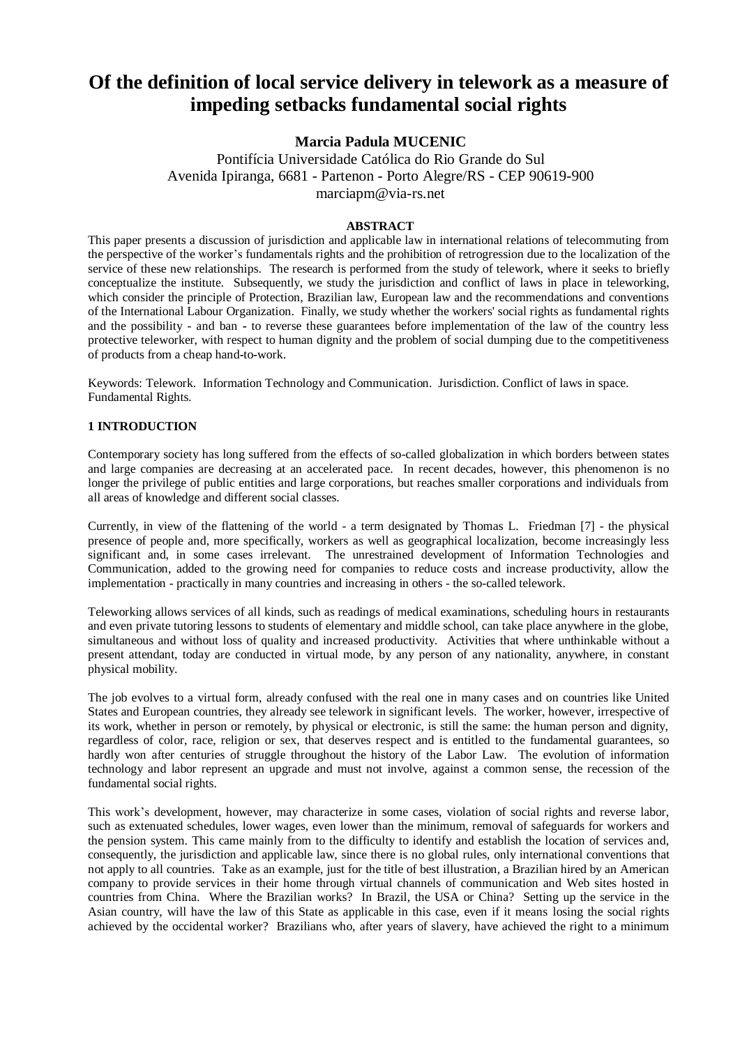# **Of the definition of local service delivery in telework as a measure of impeding setbacks fundamental social rights**

## **Marcia Padula MUCENIC**

Pontifícia Universidade Católica do Rio Grande do Sul Avenida Ipiranga, 6681 - Partenon - Porto Alegre/RS - CEP 90619-900 marciapm@via-rs.net

## **ABSTRACT**

This paper presents a discussion of jurisdiction and applicable law in international relations of telecommuting from the perspective of the worker's fundamentals rights and the prohibition of retrogression due to the localization of the service of these new relationships. The research is performed from the study of telework, where it seeks to briefly conceptualize the institute. Subsequently, we study the jurisdiction and conflict of laws in place in teleworking, which consider the principle of Protection, Brazilian law, European law and the recommendations and conventions of the International Labour Organization. Finally, we study whether the workers' social rights as fundamental rights and the possibility - and ban **-** to reverse these guarantees before implementation of the law of the country less protective teleworker, with respect to human dignity and the problem of social dumping due to the competitiveness of products from a cheap hand**-**to**-**work.

Keywords: Telework. Information Technology and Communication. Jurisdiction. Conflict of laws in space. Fundamental Rights.

## **1 INTRODUCTION**

Contemporary society has long suffered from the effects of so-called globalization in which borders between states and large companies are decreasing at an accelerated pace. In recent decades, however, this phenomenon is no longer the privilege of public entities and large corporations, but reaches smaller corporations and individuals from all areas of knowledge and different social classes.

Currently, in view of the flattening of the world - a term designated by Thomas L. Friedman [7] - the physical presence of people and, more specifically, workers as well as geographical localization, become increasingly less significant and, in some cases irrelevant. The unrestrained development of Information Technologies and Communication, added to the growing need for companies to reduce costs and increase productivity, allow the implementation - practically in many countries and increasing in others - the so-called telework.

Teleworking allows services of all kinds, such as readings of medical examinations, scheduling hours in restaurants and even private tutoring lessons to students of elementary and middle school, can take place anywhere in the globe, simultaneous and without loss of quality and increased productivity. Activities that where unthinkable without a present attendant, today are conducted in virtual mode, by any person of any nationality, anywhere, in constant physical mobility.

The job evolves to a virtual form, already confused with the real one in many cases and on countries like United States and European countries, they already see telework in significant levels. The worker, however, irrespective of its work, whether in person or remotely, by physical or electronic, is still the same: the human person and dignity, regardless of color, race, religion or sex, that deserves respect and is entitled to the fundamental guarantees, so hardly won after centuries of struggle throughout the history of the Labor Law. The evolution of information technology and labor represent an upgrade and must not involve, against a common sense, the recession of the fundamental social rights.

This work's development, however, may characterize in some cases, violation of social rights and reverse labor, such as extenuated schedules, lower wages, even lower than the minimum, removal of safeguards for workers and the pension system. This came mainly from to the difficulty to identify and establish the location of services and, consequently, the jurisdiction and applicable law, since there is no global rules, only international conventions that not apply to all countries. Take as an example, just for the title of best illustration, a Brazilian hired by an American company to provide services in their home through virtual channels of communication and Web sites hosted in countries from China. Where the Brazilian works? In Brazil, the USA or China? Setting up the service in the Asian country, will have the law of this State as applicable in this case, even if it means losing the social rights achieved by the occidental worker? Brazilians who, after years of slavery, have achieved the right to a minimum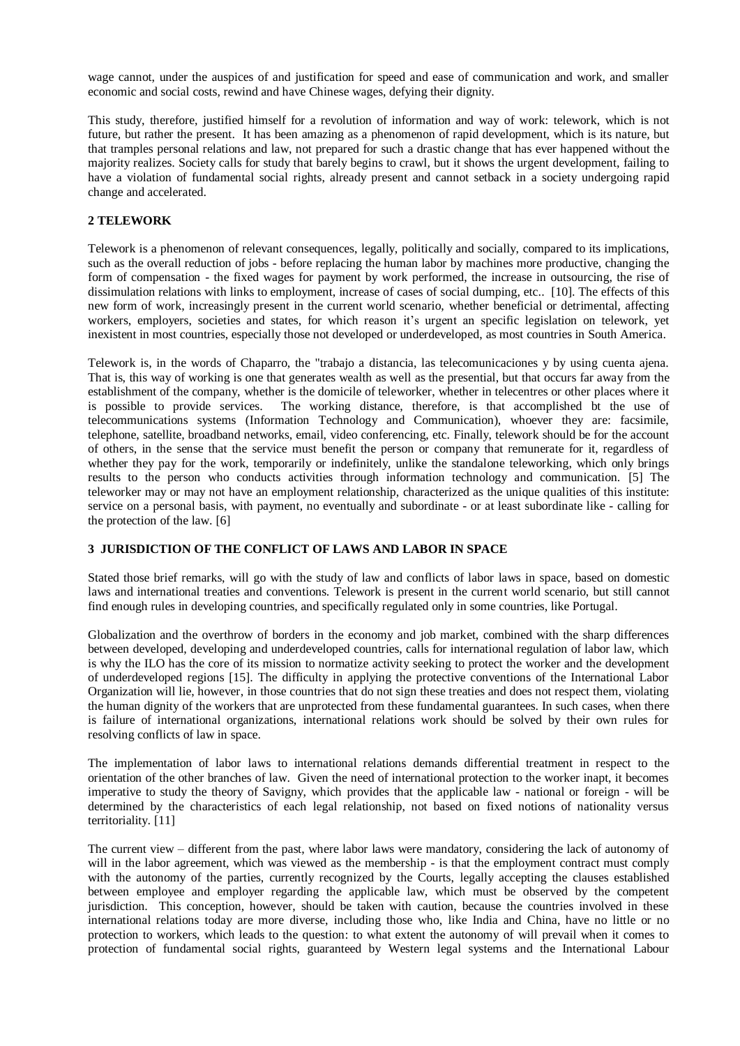wage cannot, under the auspices of and justification for speed and ease of communication and work, and smaller economic and social costs, rewind and have Chinese wages, defying their dignity.

This study, therefore, justified himself for a revolution of information and way of work: telework, which is not future, but rather the present. It has been amazing as a phenomenon of rapid development, which is its nature, but that tramples personal relations and law, not prepared for such a drastic change that has ever happened without the majority realizes. Society calls for study that barely begins to crawl, but it shows the urgent development, failing to have a violation of fundamental social rights, already present and cannot setback in a society undergoing rapid change and accelerated.

## **2 TELEWORK**

Telework is a phenomenon of relevant consequences, legally, politically and socially, compared to its implications, such as the overall reduction of jobs - before replacing the human labor by machines more productive, changing the form of compensation - the fixed wages for payment by work performed, the increase in outsourcing, the rise of dissimulation relations with links to employment, increase of cases of social dumping, etc.. [10]. The effects of this new form of work, increasingly present in the current world scenario, whether beneficial or detrimental, affecting workers, employers, societies and states, for which reason it's urgent an specific legislation on telework, yet inexistent in most countries, especially those not developed or underdeveloped, as most countries in South America.

Telework is, in the words of Chaparro, the "trabajo a distancia, las telecomunicaciones y by using cuenta ajena. That is, this way of working is one that generates wealth as well as the presential, but that occurs far away from the establishment of the company, whether is the domicile of teleworker, whether in telecentres or other places where it is possible to provide services. The working distance, therefore, is that accomplished bt the use of telecommunications systems (Information Technology and Communication), whoever they are: facsimile, telephone, satellite, broadband networks, email, video conferencing, etc. Finally, telework should be for the account of others, in the sense that the service must benefit the person or company that remunerate for it, regardless of whether they pay for the work, temporarily or indefinitely, unlike the standalone teleworking, which only brings results to the person who conducts activities through information technology and communication. [5] The teleworker may or may not have an employment relationship, characterized as the unique qualities of this institute: service on a personal basis, with payment, no eventually and subordinate - or at least subordinate like - calling for the protection of the law. [6]

#### **3 JURISDICTION OF THE CONFLICT OF LAWS AND LABOR IN SPACE**

Stated those brief remarks, will go with the study of law and conflicts of labor laws in space, based on domestic laws and international treaties and conventions. Telework is present in the current world scenario, but still cannot find enough rules in developing countries, and specifically regulated only in some countries, like Portugal.

Globalization and the overthrow of borders in the economy and job market, combined with the sharp differences between developed, developing and underdeveloped countries, calls for international regulation of labor law, which is why the ILO has the core of its mission to normatize activity seeking to protect the worker and the development of underdeveloped regions [15]. The difficulty in applying the protective conventions of the International Labor Organization will lie, however, in those countries that do not sign these treaties and does not respect them, violating the human dignity of the workers that are unprotected from these fundamental guarantees. In such cases, when there is failure of international organizations, international relations work should be solved by their own rules for resolving conflicts of law in space.

The implementation of labor laws to international relations demands differential treatment in respect to the orientation of the other branches of law. Given the need of international protection to the worker inapt, it becomes imperative to study the theory of Savigny, which provides that the applicable law - national or foreign - will be determined by the characteristics of each legal relationship, not based on fixed notions of nationality versus territoriality. [11]

The current view – different from the past, where labor laws were mandatory, considering the lack of autonomy of will in the labor agreement, which was viewed as the membership - is that the employment contract must comply with the autonomy of the parties, currently recognized by the Courts, legally accepting the clauses established between employee and employer regarding the applicable law, which must be observed by the competent jurisdiction. This conception, however, should be taken with caution, because the countries involved in these international relations today are more diverse, including those who, like India and China, have no little or no protection to workers, which leads to the question: to what extent the autonomy of will prevail when it comes to protection of fundamental social rights, guaranteed by Western legal systems and the International Labour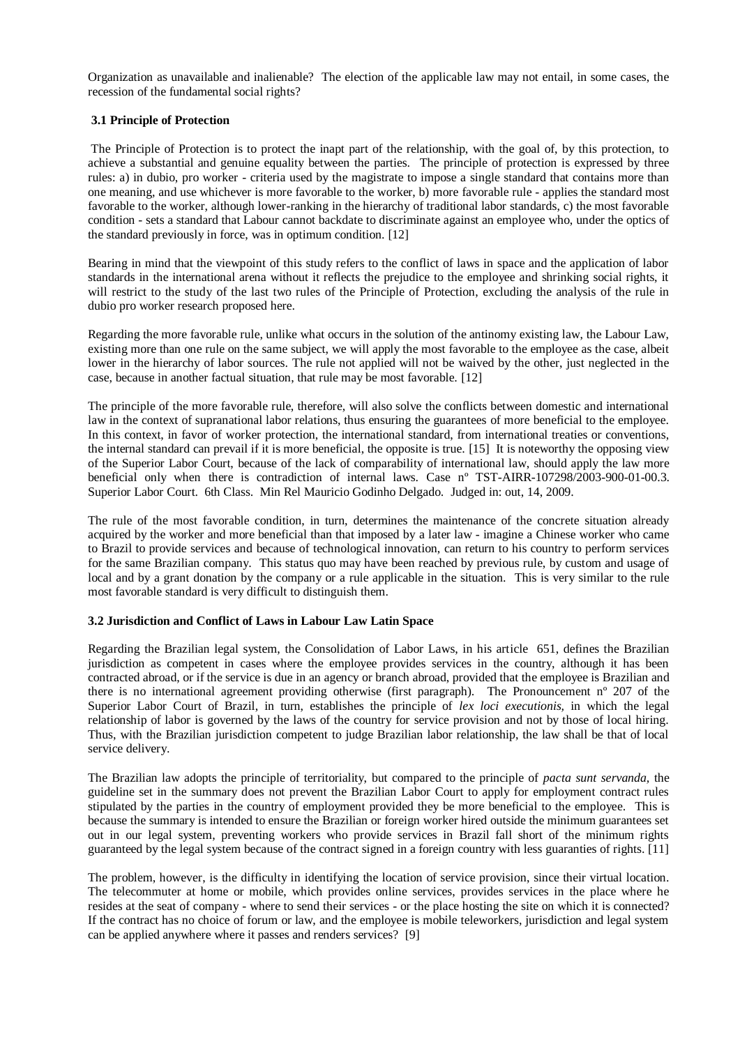Organization as unavailable and inalienable? The election of the applicable law may not entail, in some cases, the recession of the fundamental social rights?

## **3.1 Principle of Protection**

The Principle of Protection is to protect the inapt part of the relationship, with the goal of, by this protection, to achieve a substantial and genuine equality between the parties. The principle of protection is expressed by three rules: a) in dubio, pro worker - criteria used by the magistrate to impose a single standard that contains more than one meaning, and use whichever is more favorable to the worker, b) more favorable rule - applies the standard most favorable to the worker, although lower-ranking in the hierarchy of traditional labor standards, c) the most favorable condition - sets a standard that Labour cannot backdate to discriminate against an employee who, under the optics of the standard previously in force, was in optimum condition. [12]

Bearing in mind that the viewpoint of this study refers to the conflict of laws in space and the application of labor standards in the international arena without it reflects the prejudice to the employee and shrinking social rights, it will restrict to the study of the last two rules of the Principle of Protection, excluding the analysis of the rule in dubio pro worker research proposed here.

Regarding the more favorable rule, unlike what occurs in the solution of the antinomy existing law, the Labour Law, existing more than one rule on the same subject, we will apply the most favorable to the employee as the case, albeit lower in the hierarchy of labor sources. The rule not applied will not be waived by the other, just neglected in the case, because in another factual situation, that rule may be most favorable. [12]

The principle of the more favorable rule, therefore, will also solve the conflicts between domestic and international law in the context of supranational labor relations, thus ensuring the guarantees of more beneficial to the employee. In this context, in favor of worker protection, the international standard, from international treaties or conventions, the internal standard can prevail if it is more beneficial, the opposite is true. [15] It is noteworthy the opposing view of the Superior Labor Court, because of the lack of comparability of international law, should apply the law more beneficial only when there is contradiction of internal laws. Case nº TST-AIRR-107298/2003-900-01-00.3. Superior Labor Court. 6th Class. Min Rel Mauricio Godinho Delgado. Judged in: out, 14, 2009.

The rule of the most favorable condition, in turn, determines the maintenance of the concrete situation already acquired by the worker and more beneficial than that imposed by a later law - imagine a Chinese worker who came to Brazil to provide services and because of technological innovation, can return to his country to perform services for the same Brazilian company. This status quo may have been reached by previous rule, by custom and usage of local and by a grant donation by the company or a rule applicable in the situation. This is very similar to the rule most favorable standard is very difficult to distinguish them.

## **3.2 Jurisdiction and Conflict of Laws in Labour Law Latin Space**

Regarding the Brazilian legal system, the Consolidation of Labor Laws, in his article 651, defines the Brazilian jurisdiction as competent in cases where the employee provides services in the country, although it has been contracted abroad, or if the service is due in an agency or branch abroad, provided that the employee is Brazilian and there is no international agreement providing otherwise (first paragraph). The Pronouncement nº 207 of the Superior Labor Court of Brazil, in turn, establishes the principle of *lex loci executionis,* in which the legal relationship of labor is governed by the laws of the country for service provision and not by those of local hiring. Thus, with the Brazilian jurisdiction competent to judge Brazilian labor relationship, the law shall be that of local service delivery.

The Brazilian law adopts the principle of territoriality, but compared to the principle of *pacta sunt servanda,* the guideline set in the summary does not prevent the Brazilian Labor Court to apply for employment contract rules stipulated by the parties in the country of employment provided they be more beneficial to the employee. This is because the summary is intended to ensure the Brazilian or foreign worker hired outside the minimum guarantees set out in our legal system, preventing workers who provide services in Brazil fall short of the minimum rights guaranteed by the legal system because of the contract signed in a foreign country with less guaranties of rights. [11]

The problem, however, is the difficulty in identifying the location of service provision, since their virtual location. The telecommuter at home or mobile, which provides online services, provides services in the place where he resides at the seat of company - where to send their services - or the place hosting the site on which it is connected? If the contract has no choice of forum or law, and the employee is mobile teleworkers, jurisdiction and legal system can be applied anywhere where it passes and renders services? [9]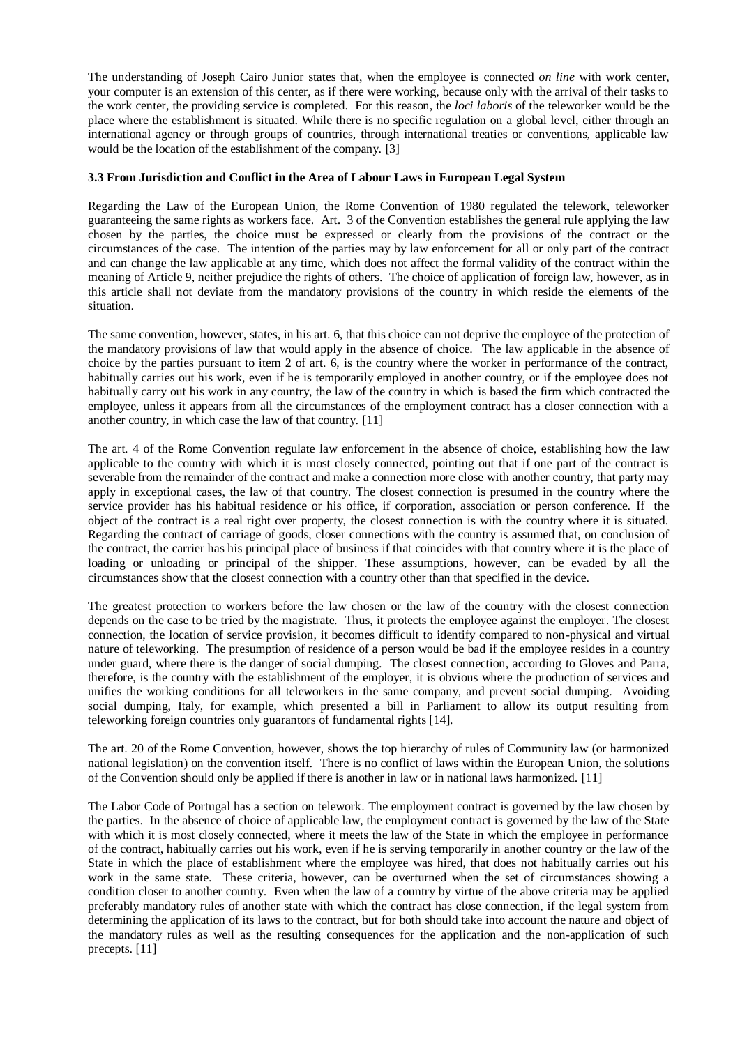The understanding of Joseph Cairo Junior states that, when the employee is connected *on line* with work center, your computer is an extension of this center, as if there were working, because only with the arrival of their tasks to the work center, the providing service is completed. For this reason, the *loci laboris* of the teleworker would be the place where the establishment is situated. While there is no specific regulation on a global level, either through an international agency or through groups of countries, through international treaties or conventions, applicable law would be the location of the establishment of the company. [3]

## **3.3 From Jurisdiction and Conflict in the Area of Labour Laws in European Legal System**

Regarding the Law of the European Union, the Rome Convention of 1980 regulated the telework, teleworker guaranteeing the same rights as workers face. Art. 3 of the Convention establishes the general rule applying the law chosen by the parties, the choice must be expressed or clearly from the provisions of the contract or the circumstances of the case. The intention of the parties may by law enforcement for all or only part of the contract and can change the law applicable at any time, which does not affect the formal validity of the contract within the meaning of Article 9, neither prejudice the rights of others. The choice of application of foreign law, however, as in this article shall not deviate from the mandatory provisions of the country in which reside the elements of the situation.

The same convention, however, states, in his art. 6, that this choice can not deprive the employee of the protection of the mandatory provisions of law that would apply in the absence of choice. The law applicable in the absence of choice by the parties pursuant to item 2 of art. 6, is the country where the worker in performance of the contract, habitually carries out his work, even if he is temporarily employed in another country, or if the employee does not habitually carry out his work in any country, the law of the country in which is based the firm which contracted the employee, unless it appears from all the circumstances of the employment contract has a closer connection with a another country, in which case the law of that country. [11]

The art. 4 of the Rome Convention regulate law enforcement in the absence of choice, establishing how the law applicable to the country with which it is most closely connected, pointing out that if one part of the contract is severable from the remainder of the contract and make a connection more close with another country, that party may apply in exceptional cases, the law of that country. The closest connection is presumed in the country where the service provider has his habitual residence or his office, if corporation, association or person conference. If the object of the contract is a real right over property, the closest connection is with the country where it is situated. Regarding the contract of carriage of goods, closer connections with the country is assumed that, on conclusion of the contract, the carrier has his principal place of business if that coincides with that country where it is the place of loading or unloading or principal of the shipper. These assumptions, however, can be evaded by all the circumstances show that the closest connection with a country other than that specified in the device.

The greatest protection to workers before the law chosen or the law of the country with the closest connection depends on the case to be tried by the magistrate. Thus, it protects the employee against the employer. The closest connection, the location of service provision, it becomes difficult to identify compared to non-physical and virtual nature of teleworking. The presumption of residence of a person would be bad if the employee resides in a country under guard, where there is the danger of social dumping. The closest connection, according to Gloves and Parra, therefore, is the country with the establishment of the employer, it is obvious where the production of services and unifies the working conditions for all teleworkers in the same company, and prevent social dumping. Avoiding social dumping, Italy, for example, which presented a bill in Parliament to allow its output resulting from teleworking foreign countries only guarantors of fundamental rights [14].

The art. 20 of the Rome Convention, however, shows the top hierarchy of rules of Community law (or harmonized national legislation) on the convention itself. There is no conflict of laws within the European Union, the solutions of the Convention should only be applied if there is another in law or in national laws harmonized. [11]

The Labor Code of Portugal has a section on telework. The employment contract is governed by the law chosen by the parties. In the absence of choice of applicable law, the employment contract is governed by the law of the State with which it is most closely connected, where it meets the law of the State in which the employee in performance of the contract, habitually carries out his work, even if he is serving temporarily in another country or the law of the State in which the place of establishment where the employee was hired, that does not habitually carries out his work in the same state. These criteria, however, can be overturned when the set of circumstances showing a condition closer to another country. Even when the law of a country by virtue of the above criteria may be applied preferably mandatory rules of another state with which the contract has close connection, if the legal system from determining the application of its laws to the contract, but for both should take into account the nature and object of the mandatory rules as well as the resulting consequences for the application and the non-application of such precepts. [11]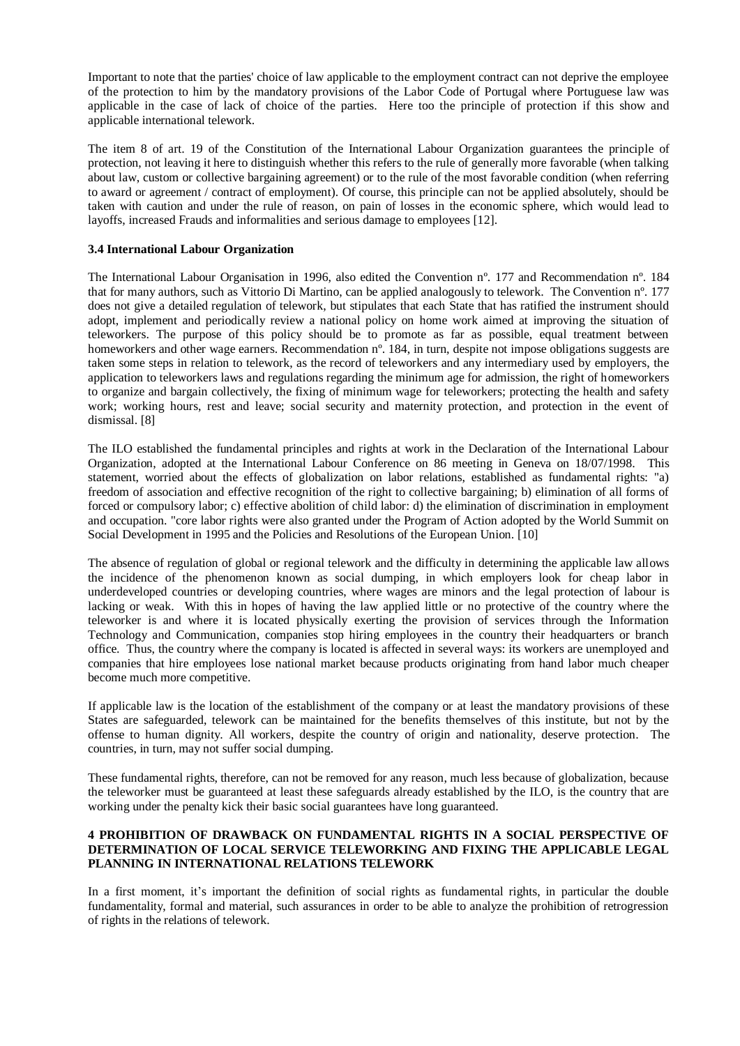Important to note that the parties' choice of law applicable to the employment contract can not deprive the employee of the protection to him by the mandatory provisions of the Labor Code of Portugal where Portuguese law was applicable in the case of lack of choice of the parties. Here too the principle of protection if this show and applicable international telework.

The item 8 of art. 19 of the Constitution of the International Labour Organization guarantees the principle of protection, not leaving it here to distinguish whether this refers to the rule of generally more favorable (when talking about law, custom or collective bargaining agreement) or to the rule of the most favorable condition (when referring to award or agreement / contract of employment). Of course, this principle can not be applied absolutely, should be taken with caution and under the rule of reason, on pain of losses in the economic sphere, which would lead to layoffs, increased Frauds and informalities and serious damage to employees [12].

#### **3.4 International Labour Organization**

The International Labour Organisation in 1996, also edited the Convention nº. 177 and Recommendation nº. 184 that for many authors, such as Vittorio Di Martino, can be applied analogously to telework. The Convention nº. 177 does not give a detailed regulation of telework, but stipulates that each State that has ratified the instrument should adopt, implement and periodically review a national policy on home work aimed at improving the situation of teleworkers. The purpose of this policy should be to promote as far as possible, equal treatment between homeworkers and other wage earners. Recommendation n°, 184, in turn, despite not impose obligations suggests are taken some steps in relation to telework, as the record of teleworkers and any intermediary used by employers, the application to teleworkers laws and regulations regarding the minimum age for admission, the right of homeworkers to organize and bargain collectively, the fixing of minimum wage for teleworkers; protecting the health and safety work; working hours, rest and leave; social security and maternity protection, and protection in the event of dismissal. [8]

The ILO established the fundamental principles and rights at work in the Declaration of the International Labour Organization, adopted at the International Labour Conference on 86 meeting in Geneva on 18/07/1998. This statement, worried about the effects of globalization on labor relations, established as fundamental rights: "a) freedom of association and effective recognition of the right to collective bargaining; b) elimination of all forms of forced or compulsory labor; c) effective abolition of child labor: d) the elimination of discrimination in employment and occupation. "core labor rights were also granted under the Program of Action adopted by the World Summit on Social Development in 1995 and the Policies and Resolutions of the European Union. [10]

The absence of regulation of global or regional telework and the difficulty in determining the applicable law allows the incidence of the phenomenon known as social dumping, in which employers look for cheap labor in underdeveloped countries or developing countries, where wages are minors and the legal protection of labour is lacking or weak. With this in hopes of having the law applied little or no protective of the country where the teleworker is and where it is located physically exerting the provision of services through the Information Technology and Communication, companies stop hiring employees in the country their headquarters or branch office. Thus, the country where the company is located is affected in several ways: its workers are unemployed and companies that hire employees lose national market because products originating from hand labor much cheaper become much more competitive.

If applicable law is the location of the establishment of the company or at least the mandatory provisions of these States are safeguarded, telework can be maintained for the benefits themselves of this institute, but not by the offense to human dignity. All workers, despite the country of origin and nationality, deserve protection. The countries, in turn, may not suffer social dumping.

These fundamental rights, therefore, can not be removed for any reason, much less because of globalization, because the teleworker must be guaranteed at least these safeguards already established by the ILO, is the country that are working under the penalty kick their basic social guarantees have long guaranteed.

## **4 PROHIBITION OF DRAWBACK ON FUNDAMENTAL RIGHTS IN A SOCIAL PERSPECTIVE OF DETERMINATION OF LOCAL SERVICE TELEWORKING AND FIXING THE APPLICABLE LEGAL PLANNING IN INTERNATIONAL RELATIONS TELEWORK**

In a first moment, it's important the definition of social rights as fundamental rights, in particular the double fundamentality, formal and material, such assurances in order to be able to analyze the prohibition of retrogression of rights in the relations of telework.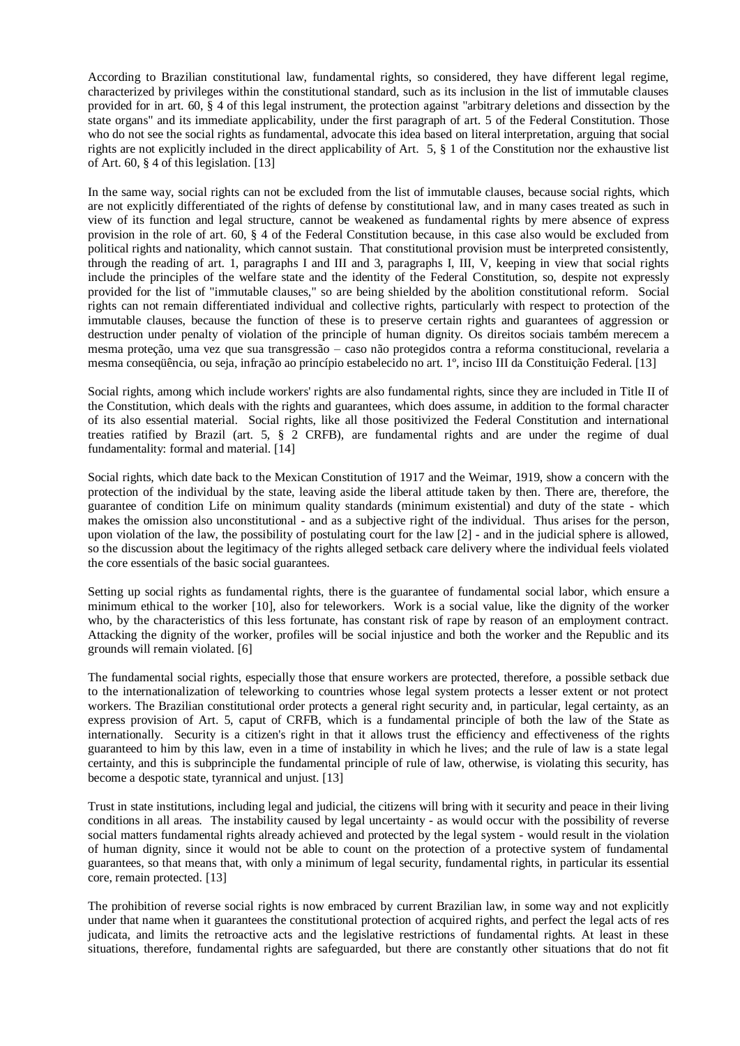According to Brazilian constitutional law, fundamental rights, so considered, they have different legal regime, characterized by privileges within the constitutional standard, such as its inclusion in the list of immutable clauses provided for in art. 60, § 4 of this legal instrument, the protection against "arbitrary deletions and dissection by the state organs" and its immediate applicability, under the first paragraph of art. 5 of the Federal Constitution. Those who do not see the social rights as fundamental, advocate this idea based on literal interpretation, arguing that social rights are not explicitly included in the direct applicability of Art. 5, § 1 of the Constitution nor the exhaustive list of Art. 60, § 4 of this legislation. [13]

In the same way, social rights can not be excluded from the list of immutable clauses, because social rights, which are not explicitly differentiated of the rights of defense by constitutional law, and in many cases treated as such in view of its function and legal structure, cannot be weakened as fundamental rights by mere absence of express provision in the role of art. 60, § 4 of the Federal Constitution because, in this case also would be excluded from political rights and nationality, which cannot sustain. That constitutional provision must be interpreted consistently, through the reading of art. 1, paragraphs I and III and 3, paragraphs I, III, V, keeping in view that social rights include the principles of the welfare state and the identity of the Federal Constitution, so, despite not expressly provided for the list of "immutable clauses," so are being shielded by the abolition constitutional reform. Social rights can not remain differentiated individual and collective rights, particularly with respect to protection of the immutable clauses, because the function of these is to preserve certain rights and guarantees of aggression or destruction under penalty of violation of the principle of human dignity. Os direitos sociais também merecem a mesma proteção, uma vez que sua transgressão – caso não protegidos contra a reforma constitucional, revelaria a mesma conseqüência, ou seja, infração ao princípio estabelecido no art. 1º, inciso III da Constituição Federal. [13]

Social rights, among which include workers' rights are also fundamental rights, since they are included in Title II of the Constitution, which deals with the rights and guarantees, which does assume, in addition to the formal character of its also essential material. Social rights, like all those positivized the Federal Constitution and international treaties ratified by Brazil (art. 5, § 2 CRFB), are fundamental rights and are under the regime of dual fundamentality: formal and material. [14]

Social rights, which date back to the Mexican Constitution of 1917 and the Weimar, 1919, show a concern with the protection of the individual by the state, leaving aside the liberal attitude taken by then. There are, therefore, the guarantee of condition Life on minimum quality standards (minimum existential) and duty of the state - which makes the omission also unconstitutional - and as a subjective right of the individual. Thus arises for the person, upon violation of the law, the possibility of postulating court for the law [2] - and in the judicial sphere is allowed, so the discussion about the legitimacy of the rights alleged setback care delivery where the individual feels violated the core essentials of the basic social guarantees.

Setting up social rights as fundamental rights, there is the guarantee of fundamental social labor, which ensure a minimum ethical to the worker [10], also for teleworkers. Work is a social value, like the dignity of the worker who, by the characteristics of this less fortunate, has constant risk of rape by reason of an employment contract. Attacking the dignity of the worker, profiles will be social injustice and both the worker and the Republic and its grounds will remain violated. [6]

The fundamental social rights, especially those that ensure workers are protected, therefore, a possible setback due to the internationalization of teleworking to countries whose legal system protects a lesser extent or not protect workers. The Brazilian constitutional order protects a general right security and, in particular, legal certainty, as an express provision of Art. 5, caput of CRFB, which is a fundamental principle of both the law of the State as internationally. Security is a citizen's right in that it allows trust the efficiency and effectiveness of the rights guaranteed to him by this law, even in a time of instability in which he lives; and the rule of law is a state legal certainty, and this is subprinciple the fundamental principle of rule of law, otherwise, is violating this security, has become a despotic state, tyrannical and unjust. [13]

Trust in state institutions, including legal and judicial, the citizens will bring with it security and peace in their living conditions in all areas. The instability caused by legal uncertainty - as would occur with the possibility of reverse social matters fundamental rights already achieved and protected by the legal system - would result in the violation of human dignity, since it would not be able to count on the protection of a protective system of fundamental guarantees, so that means that, with only a minimum of legal security, fundamental rights, in particular its essential core, remain protected. [13]

The prohibition of reverse social rights is now embraced by current Brazilian law, in some way and not explicitly under that name when it guarantees the constitutional protection of acquired rights, and perfect the legal acts of res judicata, and limits the retroactive acts and the legislative restrictions of fundamental rights. At least in these situations, therefore, fundamental rights are safeguarded, but there are constantly other situations that do not fit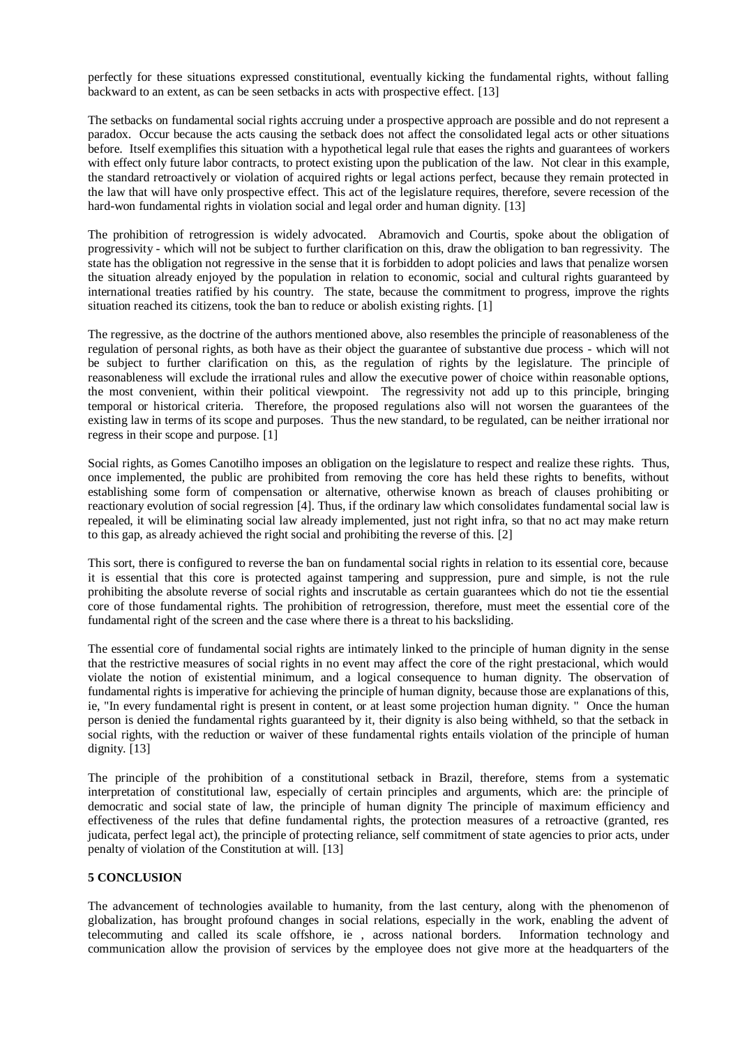perfectly for these situations expressed constitutional, eventually kicking the fundamental rights, without falling backward to an extent, as can be seen setbacks in acts with prospective effect. [13]

The setbacks on fundamental social rights accruing under a prospective approach are possible and do not represent a paradox. Occur because the acts causing the setback does not affect the consolidated legal acts or other situations before. Itself exemplifies this situation with a hypothetical legal rule that eases the rights and guarantees of workers with effect only future labor contracts, to protect existing upon the publication of the law. Not clear in this example, the standard retroactively or violation of acquired rights or legal actions perfect, because they remain protected in the law that will have only prospective effect. This act of the legislature requires, therefore, severe recession of the hard-won fundamental rights in violation social and legal order and human dignity. [13]

The prohibition of retrogression is widely advocated. Abramovich and Courtis, spoke about the obligation of progressivity - which will not be subject to further clarification on this, draw the obligation to ban regressivity. The state has the obligation not regressive in the sense that it is forbidden to adopt policies and laws that penalize worsen the situation already enjoyed by the population in relation to economic, social and cultural rights guaranteed by international treaties ratified by his country. The state, because the commitment to progress, improve the rights situation reached its citizens, took the ban to reduce or abolish existing rights. [1]

The regressive, as the doctrine of the authors mentioned above, also resembles the principle of reasonableness of the regulation of personal rights, as both have as their object the guarantee of substantive due process - which will not be subject to further clarification on this, as the regulation of rights by the legislature. The principle of reasonableness will exclude the irrational rules and allow the executive power of choice within reasonable options, the most convenient, within their political viewpoint. The regressivity not add up to this principle, bringing temporal or historical criteria. Therefore, the proposed regulations also will not worsen the guarantees of the existing law in terms of its scope and purposes. Thus the new standard, to be regulated, can be neither irrational nor regress in their scope and purpose. [1]

Social rights, as Gomes Canotilho imposes an obligation on the legislature to respect and realize these rights. Thus, once implemented, the public are prohibited from removing the core has held these rights to benefits, without establishing some form of compensation or alternative, otherwise known as breach of clauses prohibiting or reactionary evolution of social regression [4]. Thus, if the ordinary law which consolidates fundamental social law is repealed, it will be eliminating social law already implemented, just not right infra, so that no act may make return to this gap, as already achieved the right social and prohibiting the reverse of this. [2]

This sort, there is configured to reverse the ban on fundamental social rights in relation to its essential core, because it is essential that this core is protected against tampering and suppression, pure and simple, is not the rule prohibiting the absolute reverse of social rights and inscrutable as certain guarantees which do not tie the essential core of those fundamental rights. The prohibition of retrogression, therefore, must meet the essential core of the fundamental right of the screen and the case where there is a threat to his backsliding.

The essential core of fundamental social rights are intimately linked to the principle of human dignity in the sense that the restrictive measures of social rights in no event may affect the core of the right prestacional, which would violate the notion of existential minimum, and a logical consequence to human dignity. The observation of fundamental rights is imperative for achieving the principle of human dignity, because those are explanations of this, ie, "In every fundamental right is present in content, or at least some projection human dignity. " Once the human person is denied the fundamental rights guaranteed by it, their dignity is also being withheld, so that the setback in social rights, with the reduction or waiver of these fundamental rights entails violation of the principle of human dignity. [13]

The principle of the prohibition of a constitutional setback in Brazil, therefore, stems from a systematic interpretation of constitutional law, especially of certain principles and arguments, which are: the principle of democratic and social state of law, the principle of human dignity The principle of maximum efficiency and effectiveness of the rules that define fundamental rights, the protection measures of a retroactive (granted, res judicata, perfect legal act), the principle of protecting reliance, self commitment of state agencies to prior acts, under penalty of violation of the Constitution at will. [13]

#### **5 CONCLUSION**

The advancement of technologies available to humanity, from the last century, along with the phenomenon of globalization, has brought profound changes in social relations, especially in the work, enabling the advent of telecommuting and called its scale offshore, ie , across national borders. Information technology and communication allow the provision of services by the employee does not give more at the headquarters of the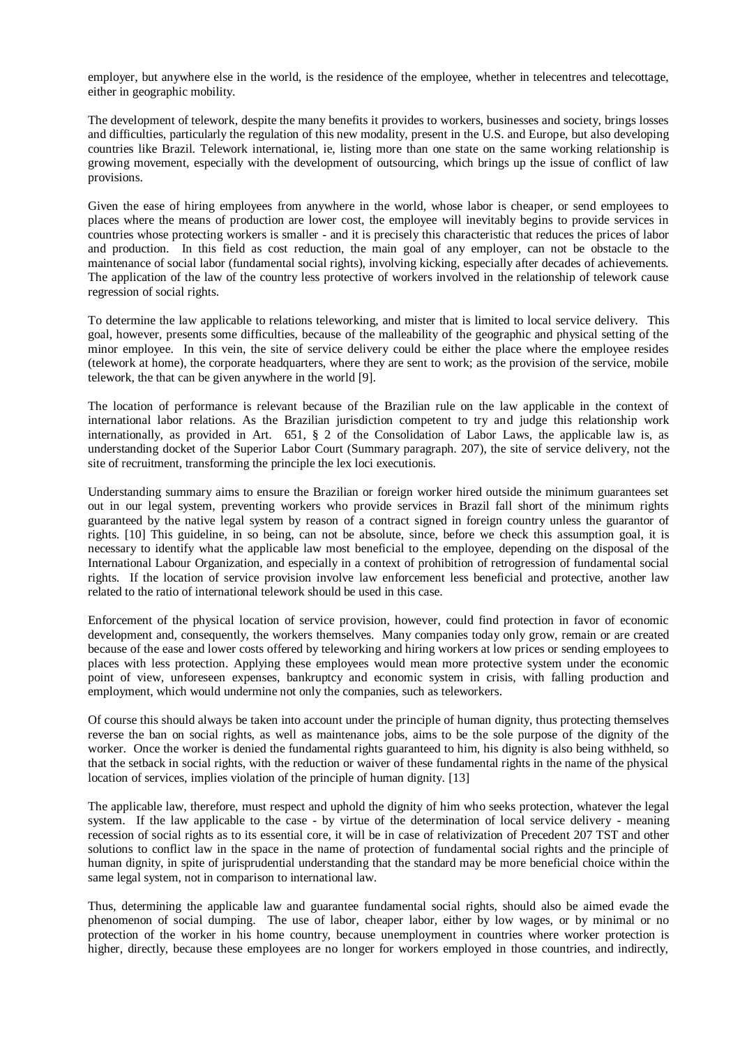employer, but anywhere else in the world, is the residence of the employee, whether in telecentres and telecottage, either in geographic mobility.

The development of telework, despite the many benefits it provides to workers, businesses and society, brings losses and difficulties, particularly the regulation of this new modality, present in the U.S. and Europe, but also developing countries like Brazil. Telework international, ie, listing more than one state on the same working relationship is growing movement, especially with the development of outsourcing, which brings up the issue of conflict of law provisions.

Given the ease of hiring employees from anywhere in the world, whose labor is cheaper, or send employees to places where the means of production are lower cost, the employee will inevitably begins to provide services in countries whose protecting workers is smaller - and it is precisely this characteristic that reduces the prices of labor and production. In this field as cost reduction, the main goal of any employer, can not be obstacle to the maintenance of social labor (fundamental social rights), involving kicking, especially after decades of achievements. The application of the law of the country less protective of workers involved in the relationship of telework cause regression of social rights.

To determine the law applicable to relations teleworking, and mister that is limited to local service delivery. This goal, however, presents some difficulties, because of the malleability of the geographic and physical setting of the minor employee. In this vein, the site of service delivery could be either the place where the employee resides (telework at home), the corporate headquarters, where they are sent to work; as the provision of the service, mobile telework, the that can be given anywhere in the world [9].

The location of performance is relevant because of the Brazilian rule on the law applicable in the context of international labor relations. As the Brazilian jurisdiction competent to try and judge this relationship work internationally, as provided in Art. 651, § 2 of the Consolidation of Labor Laws, the applicable law is, as understanding docket of the Superior Labor Court (Summary paragraph. 207), the site of service delivery, not the site of recruitment, transforming the principle the lex loci executionis.

Understanding summary aims to ensure the Brazilian or foreign worker hired outside the minimum guarantees set out in our legal system, preventing workers who provide services in Brazil fall short of the minimum rights guaranteed by the native legal system by reason of a contract signed in foreign country unless the guarantor of rights. [10] This guideline, in so being, can not be absolute, since, before we check this assumption goal, it is necessary to identify what the applicable law most beneficial to the employee, depending on the disposal of the International Labour Organization, and especially in a context of prohibition of retrogression of fundamental social rights. If the location of service provision involve law enforcement less beneficial and protective, another law related to the ratio of international telework should be used in this case.

Enforcement of the physical location of service provision, however, could find protection in favor of economic development and, consequently, the workers themselves. Many companies today only grow, remain or are created because of the ease and lower costs offered by teleworking and hiring workers at low prices or sending employees to places with less protection. Applying these employees would mean more protective system under the economic point of view, unforeseen expenses, bankruptcy and economic system in crisis, with falling production and employment, which would undermine not only the companies, such as teleworkers.

Of course this should always be taken into account under the principle of human dignity, thus protecting themselves reverse the ban on social rights, as well as maintenance jobs, aims to be the sole purpose of the dignity of the worker. Once the worker is denied the fundamental rights guaranteed to him, his dignity is also being withheld, so that the setback in social rights, with the reduction or waiver of these fundamental rights in the name of the physical location of services, implies violation of the principle of human dignity. [13]

The applicable law, therefore, must respect and uphold the dignity of him who seeks protection, whatever the legal system. If the law applicable to the case - by virtue of the determination of local service delivery - meaning recession of social rights as to its essential core, it will be in case of relativization of Precedent 207 TST and other solutions to conflict law in the space in the name of protection of fundamental social rights and the principle of human dignity, in spite of jurisprudential understanding that the standard may be more beneficial choice within the same legal system, not in comparison to international law.

Thus, determining the applicable law and guarantee fundamental social rights, should also be aimed evade the phenomenon of social dumping. The use of labor, cheaper labor, either by low wages, or by minimal or no protection of the worker in his home country, because unemployment in countries where worker protection is higher, directly, because these employees are no longer for workers employed in those countries, and indirectly,